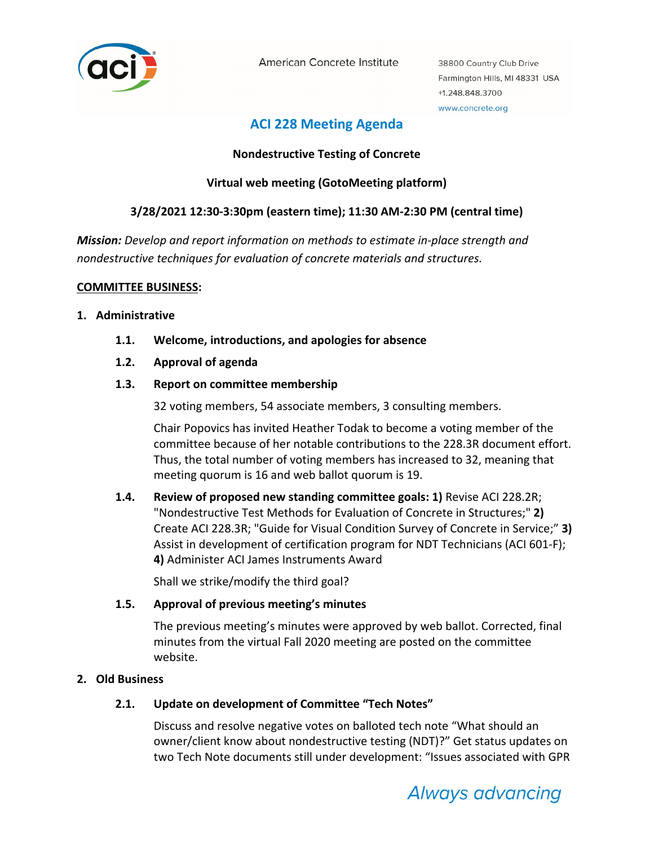

American Concrete Institute

38800 Country Club Drive Farmington Hills, MI 48331 USA +1.248.848.3700 www.concrete.org

# **ACI 228 Meeting Agenda**

## **Nondestructive Testing of Concrete**

# **Virtual web meeting (GotoMeeting platform)**

# **3/28/2021 12:30‐3:30pm (eastern time); 11:30 AM‐2:30 PM (central time)**

*Mission: Develop and report information on methods to estimate in‐place strength and nondestructive techniques for evaluation of concrete materials and structures.*

#### **COMMITTEE BUSINESS:**

#### **1. Administrative**

- **1.1. Welcome, introductions, and apologies for absence**
- **1.2. Approval of agenda**

## **1.3. Report on committee membership**

32 voting members, 54 associate members, 3 consulting members.

Chair Popovics has invited Heather Todak to become a voting member of the committee because of her notable contributions to the 228.3R document effort. Thus, the total number of voting members has increased to 32, meaning that meeting quorum is 16 and web ballot quorum is 19.

**1.4. Review of proposed new standing committee goals: 1)** Revise ACI 228.2R; "Nondestructive Test Methods for Evaluation of Concrete in Structures;" **2)** Create ACI 228.3R; "Guide for Visual Condition Survey of Concrete in Service;" **3)** Assist in development of certification program for NDT Technicians (ACI 601‐F); **4)** Administer ACI James Instruments Award

Shall we strike/modify the third goal?

## **1.5. Approval of previous meeting's minutes**

The previous meeting's minutes were approved by web ballot. Corrected, final minutes from the virtual Fall 2020 meeting are posted on the committee website.

## **2. Old Business**

## **2.1. Update on development of Committee "Tech Notes"**

Discuss and resolve negative votes on balloted tech note "What should an owner/client know about nondestructive testing (NDT)?" Get status updates on two Tech Note documents still under development: "Issues associated with GPR